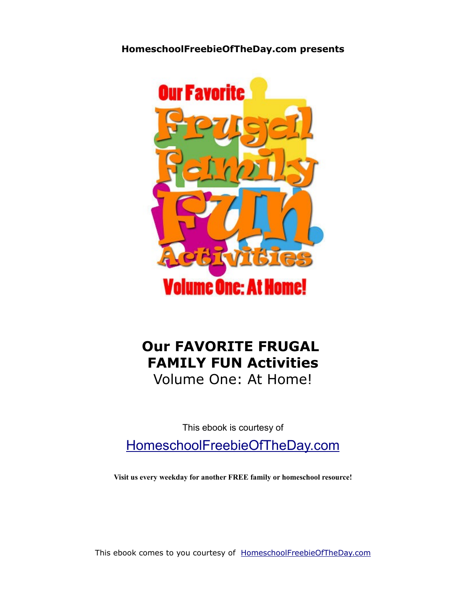## **HomeschoolFreebieOfTheDay.com presents**



## **Our FAVORITE FRUGAL FAMILY FUN Activities** Volume One: At Home!

This ebook is courtesy of

[HomeschoolFreebieOfTheDay.com](http://www.homeschoolfreebieoftheday.com/)

**Visit us every weekday for another FREE family or homeschool resource!**

This ebook comes to you courtesy of [HomeschoolFreebieOfTheDay.com](http://www.homeschoolfreebieoftheday.com/)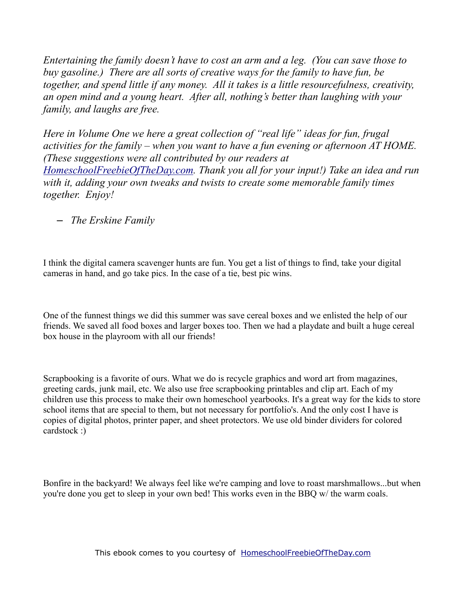*Entertaining the family doesn't have to cost an arm and a leg. (You can save those to buy gasoline.) There are all sorts of creative ways for the family to have fun, be together, and spend little if any money. All it takes is a little resourcefulness, creativity, an open mind and a young heart. After all, nothing's better than laughing with your family, and laughs are free.*

*Here in Volume One we here a great collection of "real life" ideas for fun, frugal activities for the family – when you want to have a fun evening or afternoon AT HOME. (These suggestions were all contributed by our readers at [HomeschoolFreebieOfTheDay.com.](http://www.homeschoolfreebieoftheday.com/) Thank you all for your input!) Take an idea and run with it, adding your own tweaks and twists to create some memorable family times together. Enjoy!*

– *The Erskine Family*

I think the digital camera scavenger hunts are fun. You get a list of things to find, take your digital cameras in hand, and go take pics. In the case of a tie, best pic wins.

One of the funnest things we did this summer was save cereal boxes and we enlisted the help of our friends. We saved all food boxes and larger boxes too. Then we had a playdate and built a huge cereal box house in the playroom with all our friends!

Scrapbooking is a favorite of ours. What we do is recycle graphics and word art from magazines, greeting cards, junk mail, etc. We also use free scrapbooking printables and clip art. Each of my children use this process to make their own homeschool yearbooks. It's a great way for the kids to store school items that are special to them, but not necessary for portfolio's. And the only cost I have is copies of digital photos, printer paper, and sheet protectors. We use old binder dividers for colored cardstock :)

Bonfire in the backyard! We always feel like we're camping and love to roast marshmallows...but when you're done you get to sleep in your own bed! This works even in the BBQ w/ the warm coals.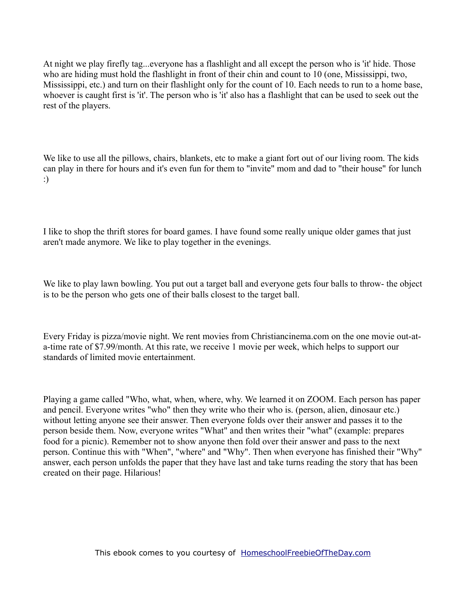At night we play firefly tag...everyone has a flashlight and all except the person who is 'it' hide. Those who are hiding must hold the flashlight in front of their chin and count to 10 (one, Mississippi, two, Mississippi, etc.) and turn on their flashlight only for the count of 10. Each needs to run to a home base, whoever is caught first is 'it'. The person who is 'it' also has a flashlight that can be used to seek out the rest of the players.

We like to use all the pillows, chairs, blankets, etc to make a giant fort out of our living room. The kids can play in there for hours and it's even fun for them to "invite" mom and dad to "their house" for lunch :)

I like to shop the thrift stores for board games. I have found some really unique older games that just aren't made anymore. We like to play together in the evenings.

We like to play lawn bowling. You put out a target ball and everyone gets four balls to throw- the object is to be the person who gets one of their balls closest to the target ball.

Every Friday is pizza/movie night. We rent movies from Christiancinema.com on the one movie out-ata-time rate of \$7.99/month. At this rate, we receive 1 movie per week, which helps to support our standards of limited movie entertainment.

Playing a game called "Who, what, when, where, why. We learned it on ZOOM. Each person has paper and pencil. Everyone writes "who" then they write who their who is. (person, alien, dinosaur etc.) without letting anyone see their answer. Then everyone folds over their answer and passes it to the person beside them. Now, everyone writes "What" and then writes their "what" (example: prepares food for a picnic). Remember not to show anyone then fold over their answer and pass to the next person. Continue this with "When", "where" and "Why". Then when everyone has finished their "Why" answer, each person unfolds the paper that they have last and take turns reading the story that has been created on their page. Hilarious!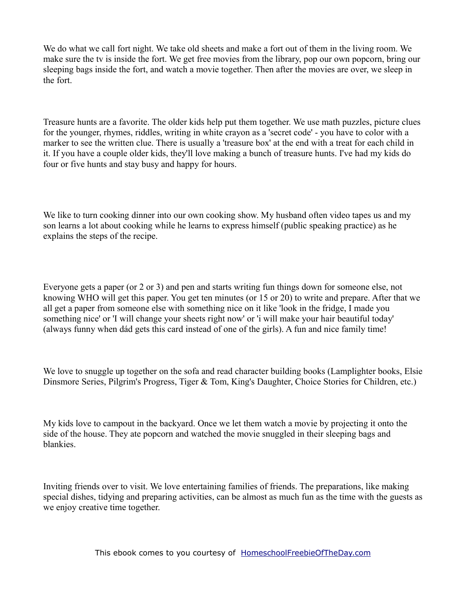We do what we call fort night. We take old sheets and make a fort out of them in the living room. We make sure the tv is inside the fort. We get free movies from the library, pop our own popcorn, bring our sleeping bags inside the fort, and watch a movie together. Then after the movies are over, we sleep in the fort.

Treasure hunts are a favorite. The older kids help put them together. We use math puzzles, picture clues for the younger, rhymes, riddles, writing in white crayon as a 'secret code' - you have to color with a marker to see the written clue. There is usually a 'treasure box' at the end with a treat for each child in it. If you have a couple older kids, they'll love making a bunch of treasure hunts. I've had my kids do four or five hunts and stay busy and happy for hours.

We like to turn cooking dinner into our own cooking show. My husband often video tapes us and my son learns a lot about cooking while he learns to express himself (public speaking practice) as he explains the steps of the recipe.

Everyone gets a paper (or 2 or 3) and pen and starts writing fun things down for someone else, not knowing WHO will get this paper. You get ten minutes (or 15 or 20) to write and prepare. After that we all get a paper from someone else with something nice on it like 'look in the fridge, I made you something nice' or 'I will change your sheets right now' or 'i will make your hair beautiful today' (always funny when dád gets this card instead of one of the girls). A fun and nice family time!

We love to snuggle up together on the sofa and read character building books (Lamplighter books, Elsie Dinsmore Series, Pilgrim's Progress, Tiger & Tom, King's Daughter, Choice Stories for Children, etc.)

My kids love to campout in the backyard. Once we let them watch a movie by projecting it onto the side of the house. They ate popcorn and watched the movie snuggled in their sleeping bags and blankies.

Inviting friends over to visit. We love entertaining families of friends. The preparations, like making special dishes, tidying and preparing activities, can be almost as much fun as the time with the guests as we enjoy creative time together.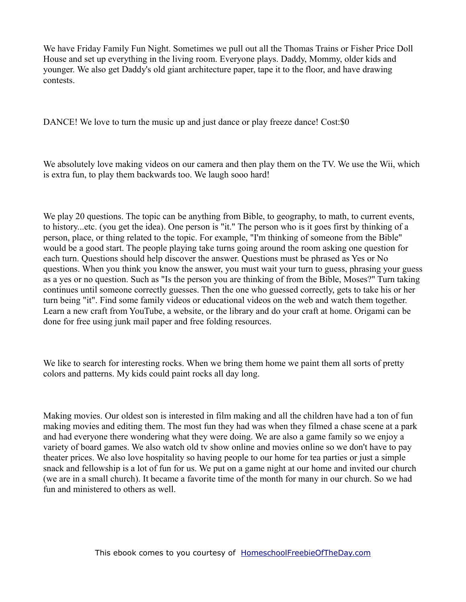We have Friday Family Fun Night. Sometimes we pull out all the Thomas Trains or Fisher Price Doll House and set up everything in the living room. Everyone plays. Daddy, Mommy, older kids and younger. We also get Daddy's old giant architecture paper, tape it to the floor, and have drawing contests.

DANCE! We love to turn the music up and just dance or play freeze dance! Cost: \$0

We absolutely love making videos on our camera and then play them on the TV. We use the Wii, which is extra fun, to play them backwards too. We laugh sooo hard!

We play 20 questions. The topic can be anything from Bible, to geography, to math, to current events, to history...etc. (you get the idea). One person is "it." The person who is it goes first by thinking of a person, place, or thing related to the topic. For example, "I'm thinking of someone from the Bible" would be a good start. The people playing take turns going around the room asking one question for each turn. Questions should help discover the answer. Questions must be phrased as Yes or No questions. When you think you know the answer, you must wait your turn to guess, phrasing your guess as a yes or no question. Such as "Is the person you are thinking of from the Bible, Moses?" Turn taking continues until someone correctly guesses. Then the one who guessed correctly, gets to take his or her turn being "it". Find some family videos or educational videos on the web and watch them together. Learn a new craft from YouTube, a website, or the library and do your craft at home. Origami can be done for free using junk mail paper and free folding resources.

We like to search for interesting rocks. When we bring them home we paint them all sorts of pretty colors and patterns. My kids could paint rocks all day long.

Making movies. Our oldest son is interested in film making and all the children have had a ton of fun making movies and editing them. The most fun they had was when they filmed a chase scene at a park and had everyone there wondering what they were doing. We are also a game family so we enjoy a variety of board games. We also watch old tv show online and movies online so we don't have to pay theater prices. We also love hospitality so having people to our home for tea parties or just a simple snack and fellowship is a lot of fun for us. We put on a game night at our home and invited our church (we are in a small church). It became a favorite time of the month for many in our church. So we had fun and ministered to others as well.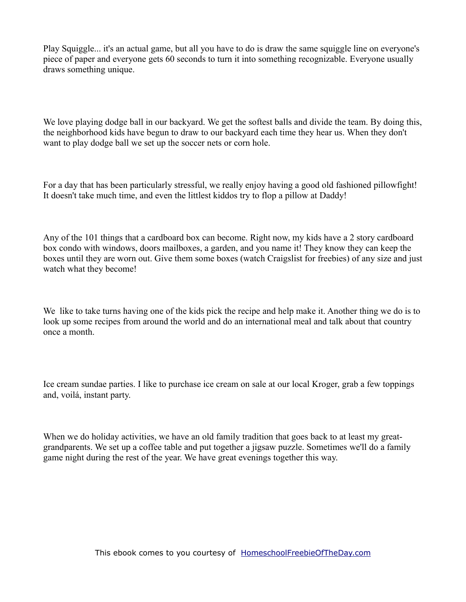Play Squiggle... it's an actual game, but all you have to do is draw the same squiggle line on everyone's piece of paper and everyone gets 60 seconds to turn it into something recognizable. Everyone usually draws something unique.

We love playing dodge ball in our backyard. We get the softest balls and divide the team. By doing this, the neighborhood kids have begun to draw to our backyard each time they hear us. When they don't want to play dodge ball we set up the soccer nets or corn hole.

For a day that has been particularly stressful, we really enjoy having a good old fashioned pillowfight! It doesn't take much time, and even the littlest kiddos try to flop a pillow at Daddy!

Any of the 101 things that a cardboard box can become. Right now, my kids have a 2 story cardboard box condo with windows, doors mailboxes, a garden, and you name it! They know they can keep the boxes until they are worn out. Give them some boxes (watch Craigslist for freebies) of any size and just watch what they become!

We like to take turns having one of the kids pick the recipe and help make it. Another thing we do is to look up some recipes from around the world and do an international meal and talk about that country once a month.

Ice cream sundae parties. I like to purchase ice cream on sale at our local Kroger, grab a few toppings and, voilá, instant party.

When we do holiday activities, we have an old family tradition that goes back to at least my greatgrandparents. We set up a coffee table and put together a jigsaw puzzle. Sometimes we'll do a family game night during the rest of the year. We have great evenings together this way.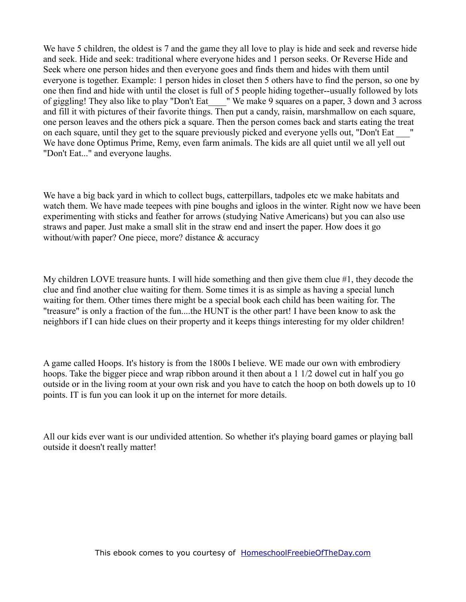We have 5 children, the oldest is 7 and the game they all love to play is hide and seek and reverse hide and seek. Hide and seek: traditional where everyone hides and 1 person seeks. Or Reverse Hide and Seek where one person hides and then everyone goes and finds them and hides with them until everyone is together. Example: 1 person hides in closet then 5 others have to find the person, so one by one then find and hide with until the closet is full of 5 people hiding together--usually followed by lots of giggling! They also like to play "Don't Eat\_\_\_\_" We make 9 squares on a paper, 3 down and 3 across and fill it with pictures of their favorite things. Then put a candy, raisin, marshmallow on each square, one person leaves and the others pick a square. Then the person comes back and starts eating the treat on each square, until they get to the square previously picked and everyone yells out, "Don't Eat " We have done Optimus Prime, Remy, even farm animals. The kids are all quiet until we all yell out "Don't Eat..." and everyone laughs.

We have a big back yard in which to collect bugs, catterpillars, tadpoles etc we make habitats and watch them. We have made teepees with pine boughs and igloos in the winter. Right now we have been experimenting with sticks and feather for arrows (studying Native Americans) but you can also use straws and paper. Just make a small slit in the straw end and insert the paper. How does it go without/with paper? One piece, more? distance & accuracy

My children LOVE treasure hunts. I will hide something and then give them clue #1, they decode the clue and find another clue waiting for them. Some times it is as simple as having a special lunch waiting for them. Other times there might be a special book each child has been waiting for. The "treasure" is only a fraction of the fun....the HUNT is the other part! I have been know to ask the neighbors if I can hide clues on their property and it keeps things interesting for my older children!

A game called Hoops. It's history is from the 1800s I believe. WE made our own with embrodiery hoops. Take the bigger piece and wrap ribbon around it then about a 1 1/2 dowel cut in half you go outside or in the living room at your own risk and you have to catch the hoop on both dowels up to 10 points. IT is fun you can look it up on the internet for more details.

All our kids ever want is our undivided attention. So whether it's playing board games or playing ball outside it doesn't really matter!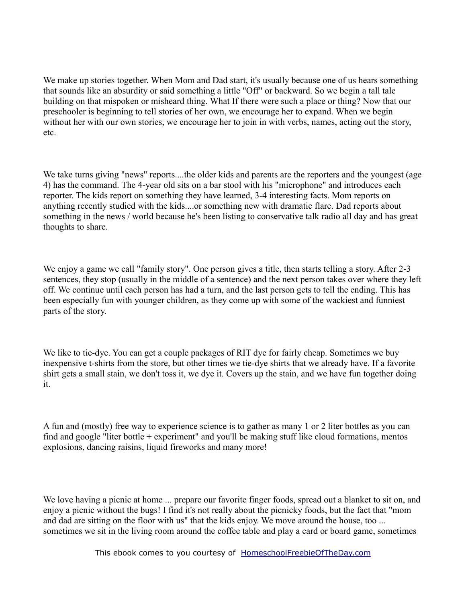We make up stories together. When Mom and Dad start, it's usually because one of us hears something that sounds like an absurdity or said something a little "Off" or backward. So we begin a tall tale building on that mispoken or misheard thing. What If there were such a place or thing? Now that our preschooler is beginning to tell stories of her own, we encourage her to expand. When we begin without her with our own stories, we encourage her to join in with verbs, names, acting out the story, etc.

We take turns giving "news" reports....the older kids and parents are the reporters and the youngest (age 4) has the command. The 4-year old sits on a bar stool with his "microphone" and introduces each reporter. The kids report on something they have learned, 3-4 interesting facts. Mom reports on anything recently studied with the kids....or something new with dramatic flare. Dad reports about something in the news / world because he's been listing to conservative talk radio all day and has great thoughts to share.

We enjoy a game we call "family story". One person gives a title, then starts telling a story. After 2-3 sentences, they stop (usually in the middle of a sentence) and the next person takes over where they left off. We continue until each person has had a turn, and the last person gets to tell the ending. This has been especially fun with younger children, as they come up with some of the wackiest and funniest parts of the story.

We like to tie-dye. You can get a couple packages of RIT dye for fairly cheap. Sometimes we buy inexpensive t-shirts from the store, but other times we tie-dye shirts that we already have. If a favorite shirt gets a small stain, we don't toss it, we dye it. Covers up the stain, and we have fun together doing it.

A fun and (mostly) free way to experience science is to gather as many 1 or 2 liter bottles as you can find and google "liter bottle + experiment" and you'll be making stuff like cloud formations, mentos explosions, dancing raisins, liquid fireworks and many more!

We love having a picnic at home ... prepare our favorite finger foods, spread out a blanket to sit on, and enjoy a picnic without the bugs! I find it's not really about the picnicky foods, but the fact that "mom and dad are sitting on the floor with us" that the kids enjoy. We move around the house, too ... sometimes we sit in the living room around the coffee table and play a card or board game, sometimes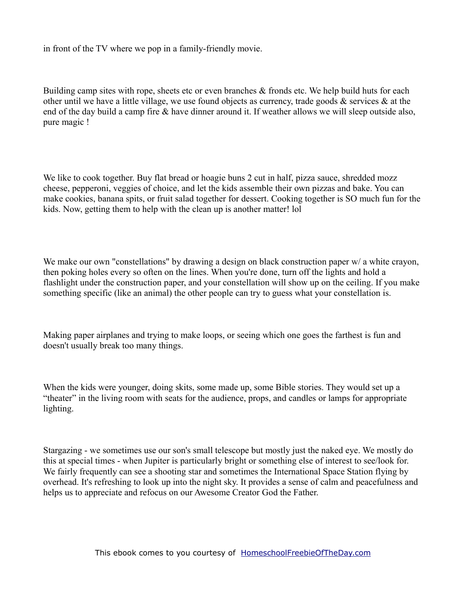in front of the TV where we pop in a family-friendly movie.

Building camp sites with rope, sheets etc or even branches  $\&$  fronds etc. We help build huts for each other until we have a little village, we use found objects as currency, trade goods  $\&$  services  $\&$  at the end of the day build a camp fire & have dinner around it. If weather allows we will sleep outside also, pure magic !

We like to cook together. Buy flat bread or hoagie buns 2 cut in half, pizza sauce, shredded mozz cheese, pepperoni, veggies of choice, and let the kids assemble their own pizzas and bake. You can make cookies, banana spits, or fruit salad together for dessert. Cooking together is SO much fun for the kids. Now, getting them to help with the clean up is another matter! lol

We make our own "constellations" by drawing a design on black construction paper w/ a white crayon, then poking holes every so often on the lines. When you're done, turn off the lights and hold a flashlight under the construction paper, and your constellation will show up on the ceiling. If you make something specific (like an animal) the other people can try to guess what your constellation is.

Making paper airplanes and trying to make loops, or seeing which one goes the farthest is fun and doesn't usually break too many things.

When the kids were younger, doing skits, some made up, some Bible stories. They would set up a "theater" in the living room with seats for the audience, props, and candles or lamps for appropriate lighting.

Stargazing - we sometimes use our son's small telescope but mostly just the naked eye. We mostly do this at special times - when Jupiter is particularly bright or something else of interest to see/look for. We fairly frequently can see a shooting star and sometimes the International Space Station flying by overhead. It's refreshing to look up into the night sky. It provides a sense of calm and peacefulness and helps us to appreciate and refocus on our Awesome Creator God the Father.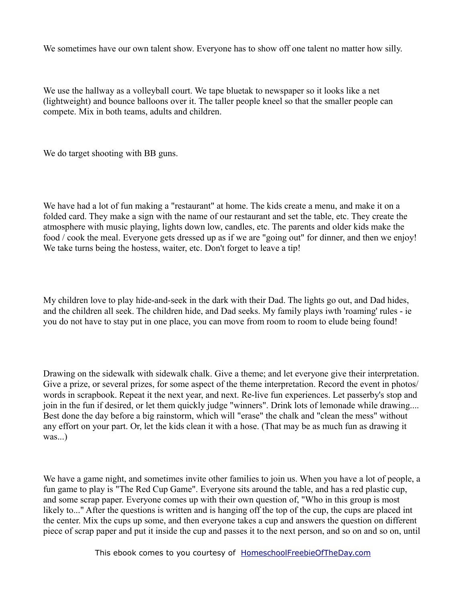We sometimes have our own talent show. Everyone has to show off one talent no matter how silly.

We use the hallway as a volleyball court. We tape bluetak to newspaper so it looks like a net (lightweight) and bounce balloons over it. The taller people kneel so that the smaller people can compete. Mix in both teams, adults and children.

We do target shooting with BB guns.

We have had a lot of fun making a "restaurant" at home. The kids create a menu, and make it on a folded card. They make a sign with the name of our restaurant and set the table, etc. They create the atmosphere with music playing, lights down low, candles, etc. The parents and older kids make the food / cook the meal. Everyone gets dressed up as if we are "going out" for dinner, and then we enjoy! We take turns being the hostess, waiter, etc. Don't forget to leave a tip!

My children love to play hide-and-seek in the dark with their Dad. The lights go out, and Dad hides, and the children all seek. The children hide, and Dad seeks. My family plays iwth 'roaming' rules - ie you do not have to stay put in one place, you can move from room to room to elude being found!

Drawing on the sidewalk with sidewalk chalk. Give a theme; and let everyone give their interpretation. Give a prize, or several prizes, for some aspect of the theme interpretation. Record the event in photos/ words in scrapbook. Repeat it the next year, and next. Re-live fun experiences. Let passerby's stop and join in the fun if desired, or let them quickly judge "winners". Drink lots of lemonade while drawing.... Best done the day before a big rainstorm, which will "erase" the chalk and "clean the mess" without any effort on your part. Or, let the kids clean it with a hose. (That may be as much fun as drawing it was...)

We have a game night, and sometimes invite other families to join us. When you have a lot of people, a fun game to play is "The Red Cup Game". Everyone sits around the table, and has a red plastic cup, and some scrap paper. Everyone comes up with their own question of, "Who in this group is most likely to..." After the questions is written and is hanging off the top of the cup, the cups are placed int the center. Mix the cups up some, and then everyone takes a cup and answers the question on different piece of scrap paper and put it inside the cup and passes it to the next person, and so on and so on, until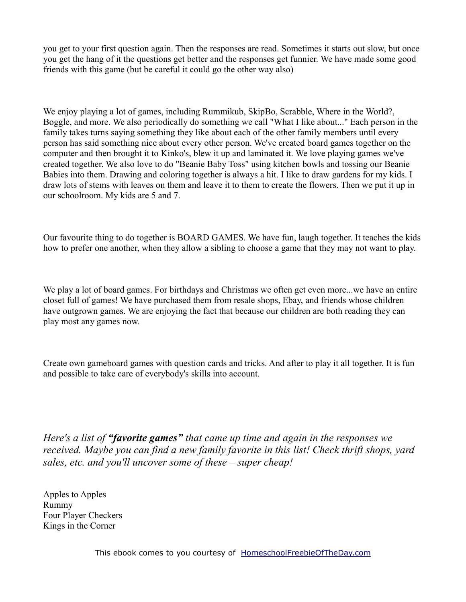you get to your first question again. Then the responses are read. Sometimes it starts out slow, but once you get the hang of it the questions get better and the responses get funnier. We have made some good friends with this game (but be careful it could go the other way also)

We enjoy playing a lot of games, including Rummikub, SkipBo, Scrabble, Where in the World?, Boggle, and more. We also periodically do something we call "What I like about..." Each person in the family takes turns saying something they like about each of the other family members until every person has said something nice about every other person. We've created board games together on the computer and then brought it to Kinko's, blew it up and laminated it. We love playing games we've created together. We also love to do "Beanie Baby Toss" using kitchen bowls and tossing our Beanie Babies into them. Drawing and coloring together is always a hit. I like to draw gardens for my kids. I draw lots of stems with leaves on them and leave it to them to create the flowers. Then we put it up in our schoolroom. My kids are 5 and 7.

Our favourite thing to do together is BOARD GAMES. We have fun, laugh together. It teaches the kids how to prefer one another, when they allow a sibling to choose a game that they may not want to play.

We play a lot of board games. For birthdays and Christmas we often get even more...we have an entire closet full of games! We have purchased them from resale shops, Ebay, and friends whose children have outgrown games. We are enjoying the fact that because our children are both reading they can play most any games now.

Create own gameboard games with question cards and tricks. And after to play it all together. It is fun and possible to take care of everybody's skills into account.

*Here's a list of "favorite games" that came up time and again in the responses we received. Maybe you can find a new family favorite in this list! Check thrift shops, yard sales, etc. and you'll uncover some of these – super cheap!*

Apples to Apples Rummy Four Player Checkers Kings in the Corner